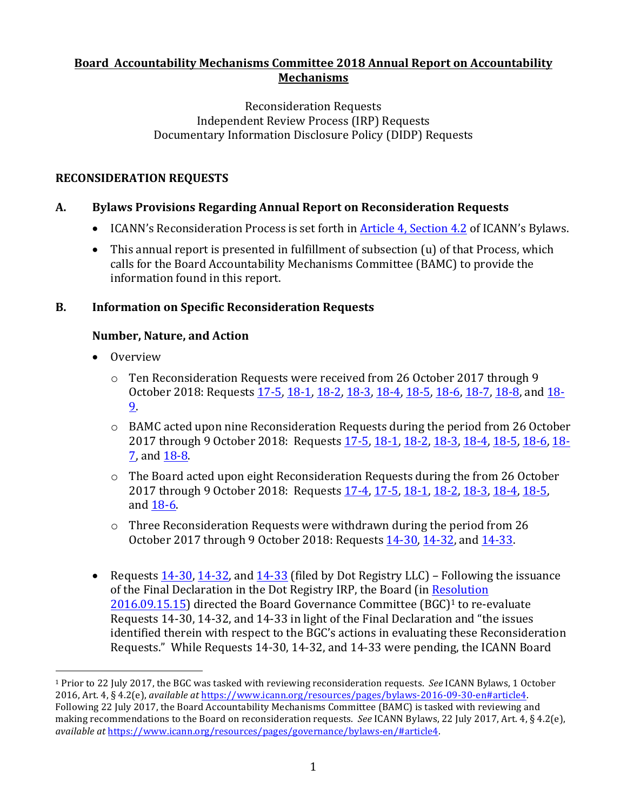#### **Board Accountability Mechanisms Committee 2018 Annual Report on Accountability Mechanisms**

#### Reconsideration Requests Independent Review Process (IRP) Requests Documentary Information Disclosure Policy (DIDP) Requests

# **RECONSIDERATION REQUESTS**

# **A. Bylaws Provisions Regarding Annual Report on Reconsideration Requests**

- ICANN's Reconsideration Process is set forth in Article 4, Section 4.2 of ICANN's Bylaws.
- This annual report is presented in fulfillment of subsection (u) of that Process, which calls for the Board Accountability Mechanisms Committee (BAMC) to provide the information found in this report.

# **B.** Information on Specific Reconsideration Requests

# **Number, Nature, and Action**

• Overview

 

- o Ten Reconsideration Requests were received from 26 October 2017 through 9 October 2018: Requests 17-5, 18-1, 18-2, 18-3, 18-4, 18-5, 18-6, 18-7, 18-8, and 18-9.
- o BAMC acted upon nine Reconsideration Requests during the period from 26 October 2017 through 9 October 2018: Requests 17-5, 18-1, 18-2, 18-3, 18-4, 18-5, 18-6, 18-7, and 18-8.
- $\circ$  The Board acted upon eight Reconsideration Requests during the from 26 October 2017 through 9 October 2018: Requests 17-4, 17-5, 18-1, 18-2, 18-3, 18-4, 18-5, and 18-6.
- $\circ$  Three Reconsideration Requests were withdrawn during the period from 26 October 2017 through 9 October 2018: Requests 14-30, 14-32, and 14-33.
- Requests  $14-30$ ,  $14-32$ , and  $14-33$  (filed by Dot Registry LLC) Following the issuance of the Final Declaration in the Dot Registry IRP, the Board (in Resolution  $2016.09.15.15$ ) directed the Board Governance Committee (BGC)<sup>1</sup> to re-evaluate Requests 14-30, 14-32, and 14-33 in light of the Final Declaration and "the issues identified therein with respect to the BGC's actions in evaluating these Reconsideration Requests." While Requests 14-30, 14-32, and 14-33 were pending, the ICANN Board

<sup>&</sup>lt;sup>1</sup> Prior to 22 July 2017, the BGC was tasked with reviewing reconsideration requests. *See* ICANN Bylaws, 1 October 2016, Art. 4, § 4.2(e), *available at https://www.icann.org/resources/pages/bylaws-2016-09-30-en#article4.* Following 22 July 2017, the Board Accountability Mechanisms Committee (BAMC) is tasked with reviewing and making recommendations to the Board on reconsideration requests. See ICANN Bylaws, 22 July 2017, Art. 4, § 4.2(e), *available at* https://www.icann.org/resources/pages/governance/bylaws-en/#article4.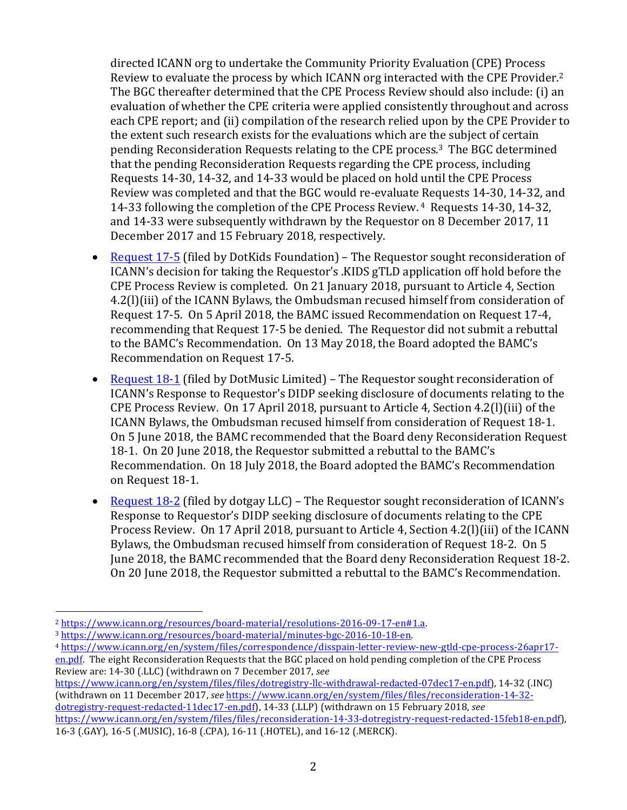directed ICANN org to undertake the Community Priority Evaluation (CPE) Process Review to evaluate the process by which ICANN org interacted with the CPE Provider.<sup>2</sup> The BGC thereafter determined that the CPE Process Review should also include: (i) an evaluation of whether the CPE criteria were applied consistently throughout and across each CPE report; and (ii) compilation of the research relied upon by the CPE Provider to the extent such research exists for the evaluations which are the subject of certain pending Reconsideration Requests relating to the CPE process.<sup>3</sup> The BGC determined that the pending Reconsideration Requests regarding the CPE process, including Requests 14-30, 14-32, and 14-33 would be placed on hold until the CPE Process Review was completed and that the BGC would re-evaluate Requests 14-30, 14-32, and 14-33 following the completion of the CPE Process Review. <sup>4</sup> Requests 14-30, 14-32, and 14-33 were subsequently withdrawn by the Requestor on 8 December 2017, 11 December 2017 and 15 February 2018, respectively.

- Request 17-5 (filed by DotKids Foundation) The Requestor sought reconsideration of ICANN's decision for taking the Requestor's .KIDS gTLD application off hold before the CPE Process Review is completed. On 21 January 2018, pursuant to Article 4, Section 4.2(I)(iii) of the ICANN Bylaws, the Ombudsman recused himself from consideration of Request 17-5. On 5 April 2018, the BAMC issued Recommendation on Request 17-4, recommending that Request 17-5 be denied. The Requestor did not submit a rebuttal to the BAMC's Recommendation. On 13 May 2018, the Board adopted the BAMC's Recommendation on Request 17-5.
- Request 18-1 (filed by DotMusic Limited) The Requestor sought reconsideration of ICANN's Response to Requestor's DIDP seeking disclosure of documents relating to the CPE Process Review. On 17 April 2018, pursuant to Article 4, Section 4.2(l)(iii) of the ICANN Bylaws, the Ombudsman recused himself from consideration of Request 18-1. On 5 June 2018, the BAMC recommended that the Board deny Reconsideration Request 18-1. On 20 June 2018, the Requestor submitted a rebuttal to the BAMC's Recommendation. On 18 July 2018, the Board adopted the BAMC's Recommendation on Request 18-1.
- Request 18-2 (filed by dotgay LLC) The Requestor sought reconsideration of ICANN's Response to Requestor's DIDP seeking disclosure of documents relating to the CPE Process Review. On 17 April 2018, pursuant to Article 4, Section 4.2(l)(iii) of the ICANN Bylaws, the Ombudsman recused himself from consideration of Request 18-2. On 5 June 2018, the BAMC recommended that the Board deny Reconsideration Request 18-2. On 20 June 2018, the Requestor submitted a rebuttal to the BAMC's Recommendation.

 

https://www.icann.org/en/system/files/files/dotregistry-llc-withdrawal-redacted-07dec17-en.pdf), 14-32 (.INC) (withdrawn on 11 December 2017, see https://www.icann.org/en/system/files/files/reconsideration-14-32dotregistry-request-redacted-11dec17-en.pdf), 14-33 (.LLP) (withdrawn on 15 February 2018, see

<sup>2</sup> https://www.icann.org/resources/board-material/resolutions-2016-09-17-en#1.a. 

<sup>3</sup> https://www.icann.org/resources/board-material/minutes-bgc-2016-10-18-en. 

<sup>4</sup> https://www.icann.org/en/system/files/correspondence/disspain-letter-review-new-gtld-cpe-process-26apr17-

en.pdf. The eight Reconsideration Requests that the BGC placed on hold pending completion of the CPE Process Review are: 14-30 (.LLC) (withdrawn on 7 December 2017, *see*

https://www.icann.org/en/system/files/files/reconsideration-14-33-dotregistry-request-redacted-15feb18-en.pdf), 16-3 (.GAY), 16-5 (.MUSIC), 16-8 (.CPA), 16-11 (.HOTEL), and 16-12 (.MERCK).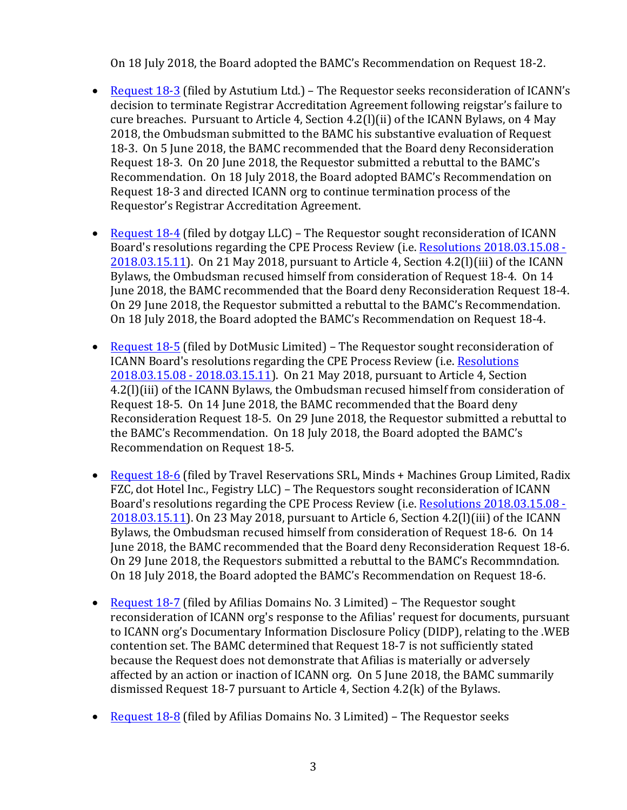On 18 July 2018, the Board adopted the BAMC's Recommendation on Request 18-2.

- Request 18-3 (filed by Astutium Ltd.) The Requestor seeks reconsideration of ICANN's decision to terminate Registrar Accreditation Agreement following reigstar's failure to cure breaches. Pursuant to Article 4, Section  $4.2(1)(ii)$  of the ICANN Bylaws, on 4 May 2018, the Ombudsman submitted to the BAMC his substantive evaluation of Request 18-3. On 5 June 2018, the BAMC recommended that the Board deny Reconsideration Request 18-3. On 20 June 2018, the Requestor submitted a rebuttal to the BAMC's Recommendation. On 18 July 2018, the Board adopted BAMC's Recommendation on Request 18-3 and directed ICANN org to continue termination process of the Requestor's Registrar Accreditation Agreement.
- Request  $18-4$  (filed by dotgay LLC) The Requestor sought reconsideration of ICANN Board's resolutions regarding the CPE Process Review (i.e. Resolutions 2018.03.15.08 - $2018.03.15.11$ ). On 21 May 2018, pursuant to Article 4, Section  $4.2(1)(iii)$  of the ICANN Bylaws, the Ombudsman recused himself from consideration of Request 18-4. On 14 June 2018, the BAMC recommended that the Board deny Reconsideration Request 18-4. On 29 June 2018, the Requestor submitted a rebuttal to the BAMC's Recommendation. On 18 July 2018, the Board adopted the BAMC's Recommendation on Request 18-4.
- Request 18-5 (filed by DotMusic Limited) The Requestor sought reconsideration of ICANN Board's resolutions regarding the CPE Process Review (i.e. Resolutions 2018.03.15.08 - 2018.03.15.11). On 21 May 2018, pursuant to Article 4, Section 4.2(I)(iii) of the ICANN Bylaws, the Ombudsman recused himself from consideration of Request 18-5. On 14 June 2018, the BAMC recommended that the Board deny Reconsideration Request 18-5. On 29 June 2018, the Requestor submitted a rebuttal to the BAMC's Recommendation. On 18 July 2018, the Board adopted the BAMC's Recommendation on Request 18-5.
- Request 18-6 (filed by Travel Reservations SRL, Minds + Machines Group Limited, Radix FZC, dot Hotel Inc., Fegistry LLC) - The Requestors sought reconsideration of ICANN Board's resolutions regarding the CPE Process Review (i.e. Resolutions 2018.03.15.08 - $2018.03.15.11$ ). On 23 May 2018, pursuant to Article 6, Section  $4.2(1)$ (iii) of the ICANN Bylaws, the Ombudsman recused himself from consideration of Request 18-6. On 14 June 2018, the BAMC recommended that the Board deny Reconsideration Request 18-6. On 29 June 2018, the Requestors submitted a rebuttal to the BAMC's Recommndation. On 18 July 2018, the Board adopted the BAMC's Recommendation on Request 18-6.
- Request 18-7 (filed by Afilias Domains No. 3 Limited) The Requestor sought reconsideration of ICANN org's response to the Afilias' request for documents, pursuant to ICANN org's Documentary Information Disclosure Policy (DIDP), relating to the .WEB contention set. The BAMC determined that Request 18-7 is not sufficiently stated because the Request does not demonstrate that Afilias is materially or adversely affected by an action or inaction of ICANN org. On 5 June 2018, the BAMC summarily dismissed Request 18-7 pursuant to Article 4, Section  $4.2(k)$  of the Bylaws.
- **Request 18-8 (filed by Afilias Domains No. 3 Limited)** The Requestor seeks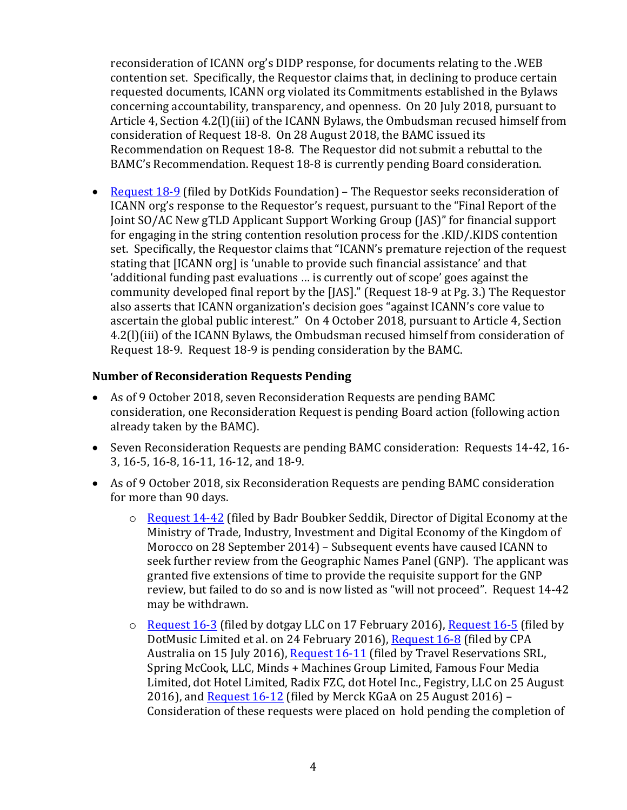reconsideration of ICANN org's DIDP response, for documents relating to the .WEB contention set. Specifically, the Requestor claims that, in declining to produce certain requested documents, ICANN org violated its Commitments established in the Bylaws concerning accountability, transparency, and openness. On 20 July 2018, pursuant to Article 4, Section  $4.2(1)(iii)$  of the ICANN Bylaws, the Ombudsman recused himself from consideration of Request 18-8. On 28 August 2018, the BAMC issued its Recommendation on Request 18-8. The Requestor did not submit a rebuttal to the BAMC's Recommendation. Request 18-8 is currently pending Board consideration.

• Request 18-9 (filed by DotKids Foundation) – The Requestor seeks reconsideration of ICANN org's response to the Requestor's request, pursuant to the "Final Report of the Joint SO/AC New gTLD Applicant Support Working Group (JAS)" for financial support for engaging in the string contention resolution process for the .KID/.KIDS contention set. Specifically, the Requestor claims that "ICANN's premature rejection of the request stating that [ICANN org] is 'unable to provide such financial assistance' and that 'additional funding past evaluations ... is currently out of scope' goes against the community developed final report by the [JAS]." (Request 18-9 at Pg. 3.) The Requestor also asserts that ICANN organization's decision goes "against ICANN's core value to ascertain the global public interest." On 4 October 2018, pursuant to Article 4, Section 4.2(I)(iii) of the ICANN Bylaws, the Ombudsman recused himself from consideration of Request 18-9. Request 18-9 is pending consideration by the BAMC.

#### **Number of Reconsideration Requests Pending**

- As of 9 October 2018, seven Reconsideration Requests are pending BAMC consideration, one Reconsideration Request is pending Board action (following action already taken by the BAMC).
- Seven Reconsideration Requests are pending BAMC consideration: Requests 14-42, 16-3, 16-5, 16-8, 16-11, 16-12, and 18-9.
- As of 9 October 2018, six Reconsideration Requests are pending BAMC consideration for more than 90 days.
	- o Request 14-42 (filed by Badr Boubker Seddik, Director of Digital Economy at the Ministry of Trade, Industry, Investment and Digital Economy of the Kingdom of Morocco on 28 September 2014) - Subsequent events have caused ICANN to seek further review from the Geographic Names Panel (GNP). The applicant was granted five extensions of time to provide the requisite support for the GNP review, but failed to do so and is now listed as "will not proceed". Request 14-42 may be withdrawn.
	- $\circ$  Request 16-3 (filed by dotgay LLC on 17 February 2016), Request 16-5 (filed by DotMusic Limited et al. on 24 February 2016), Request 16-8 (filed by CPA Australia on 15 July 2016), Request 16-11 (filed by Travel Reservations SRL, Spring McCook, LLC, Minds + Machines Group Limited, Famous Four Media Limited, dot Hotel Limited, Radix FZC, dot Hotel Inc., Fegistry, LLC on 25 August 2016), and Request  $16-12$  (filed by Merck KGaA on 25 August 2016) -Consideration of these requests were placed on hold pending the completion of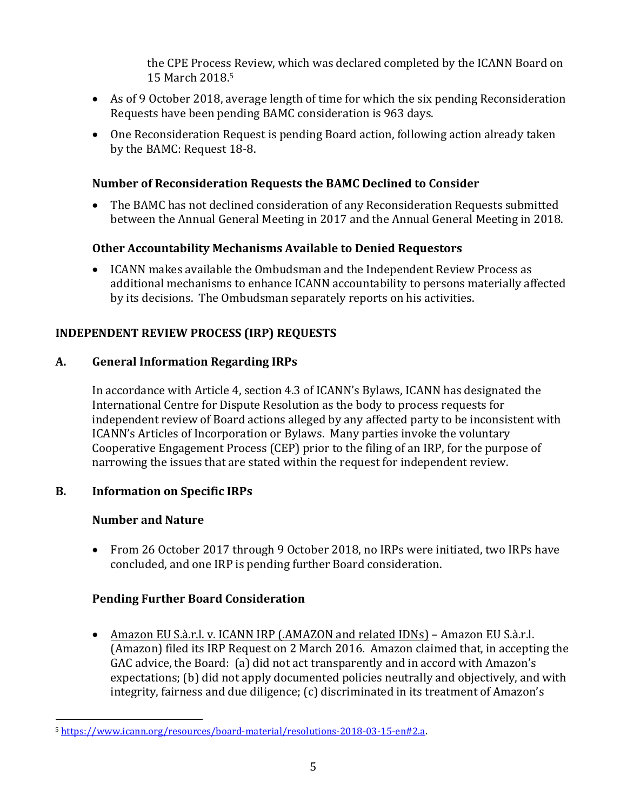the CPE Process Review, which was declared completed by the ICANN Board on 15 March 2018. 5

- As of 9 October 2018, average length of time for which the six pending Reconsideration Requests have been pending BAMC consideration is 963 days.
- One Reconsideration Request is pending Board action, following action already taken by the BAMC: Request 18-8.

#### **Number of Reconsideration Requests the BAMC Declined to Consider**

• The BAMC has not declined consideration of any Reconsideration Requests submitted between the Annual General Meeting in 2017 and the Annual General Meeting in 2018.

# **Other Accountability Mechanisms Available to Denied Requestors**

• ICANN makes available the Ombudsman and the Independent Review Process as additional mechanisms to enhance ICANN accountability to persons materially affected by its decisions. The Ombudsman separately reports on his activities.

# **INDEPENDENT REVIEW PROCESS (IRP) REQUESTS**

# **A. General Information Regarding IRPs**

In accordance with Article 4, section 4.3 of ICANN's Bylaws, ICANN has designated the International Centre for Dispute Resolution as the body to process requests for independent review of Board actions alleged by any affected party to be inconsistent with ICANN's Articles of Incorporation or Bylaws. Many parties invoke the voluntary Cooperative Engagement Process (CEP) prior to the filing of an IRP, for the purpose of narrowing the issues that are stated within the request for independent review.

# **B.** Information on Specific IRPs

# **Number and Nature**

 

• From 26 October 2017 through 9 October 2018, no IRPs were initiated, two IRPs have concluded, and one IRP is pending further Board consideration.

# **Pending Further Board Consideration**

• Amazon EU S.à.r.l. v. ICANN IRP (.AMAZON and related IDNs) – Amazon EU S.à.r.l. (Amazon) filed its IRP Request on 2 March 2016. Amazon claimed that, in accepting the GAC advice, the Board: (a) did not act transparently and in accord with Amazon's expectations; (b) did not apply documented policies neutrally and objectively, and with integrity, fairness and due diligence; (c) discriminated in its treatment of Amazon's

<sup>5</sup> https://www.icann.org/resources/board-material/resolutions-2018-03-15-en#2.a.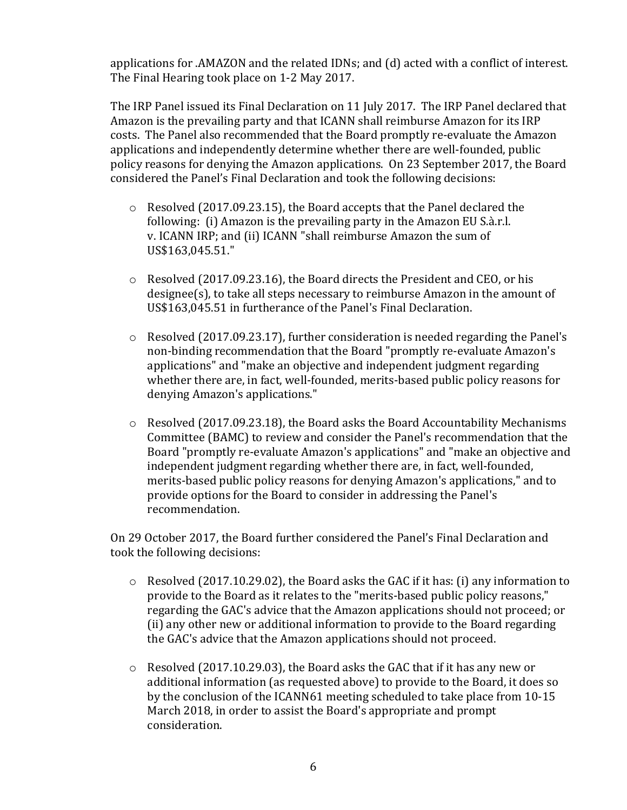applications for .AMAZON and the related IDNs; and  $(d)$  acted with a conflict of interest. The Final Hearing took place on 1-2 May 2017.

The IRP Panel issued its Final Declaration on 11 July 2017. The IRP Panel declared that Amazon is the prevailing party and that ICANN shall reimburse Amazon for its IRP costs. The Panel also recommended that the Board promptly re-evaluate the Amazon applications and independently determine whether there are well-founded, public policy reasons for denying the Amazon applications. On 23 September 2017, the Board considered the Panel's Final Declaration and took the following decisions:

- $\circ$  Resolved (2017.09.23.15), the Board accepts that the Panel declared the following: (i) Amazon is the prevailing party in the Amazon EU S.à.r.l. v. ICANN IRP; and (ii) ICANN "shall reimburse Amazon the sum of US\$163,045.51."
- $\circ$  Resolved (2017.09.23.16), the Board directs the President and CEO, or his  $designee(s)$ , to take all steps necessary to reimburse Amazon in the amount of US\$163,045.51 in furtherance of the Panel's Final Declaration.
- $\circ$  Resolved (2017.09.23.17), further consideration is needed regarding the Panel's non-binding recommendation that the Board "promptly re-evaluate Amazon's applications" and "make an objective and independent judgment regarding whether there are, in fact, well-founded, merits-based public policy reasons for denying Amazon's applications."
- $\circ$  Resolved (2017.09.23.18), the Board asks the Board Accountability Mechanisms Committee (BAMC) to review and consider the Panel's recommendation that the Board "promptly re-evaluate Amazon's applications" and "make an objective and independent judgment regarding whether there are, in fact, well-founded, merits-based public policy reasons for denying Amazon's applications," and to provide options for the Board to consider in addressing the Panel's recommendation.

On 29 October 2017, the Board further considered the Panel's Final Declaration and took the following decisions:

- $\circ$  Resolved (2017.10.29.02), the Board asks the GAC if it has: (i) any information to provide to the Board as it relates to the "merits-based public policy reasons," regarding the GAC's advice that the Amazon applications should not proceed; or (ii) any other new or additional information to provide to the Board regarding the GAC's advice that the Amazon applications should not proceed.
- $\circ$  Resolved (2017.10.29.03), the Board asks the GAC that if it has any new or additional information (as requested above) to provide to the Board, it does so by the conclusion of the ICANN61 meeting scheduled to take place from 10-15 March 2018, in order to assist the Board's appropriate and prompt consideration.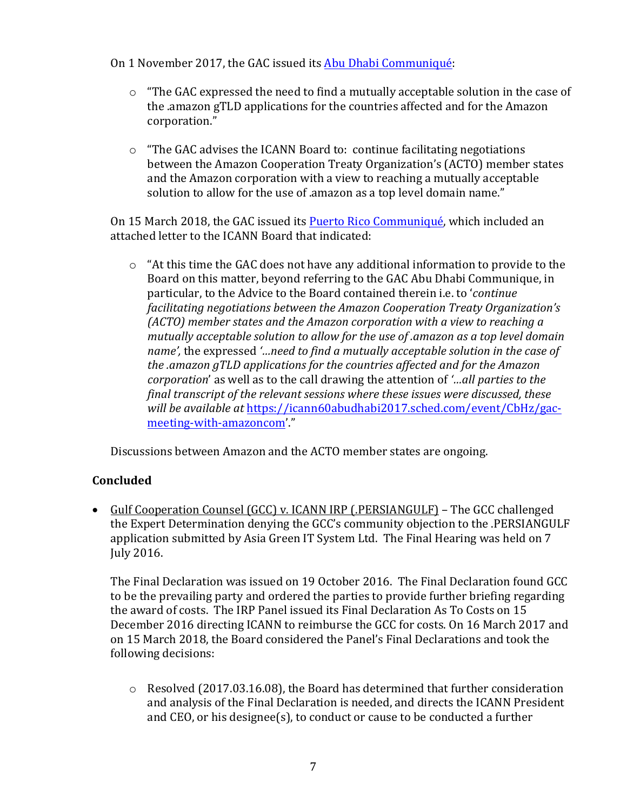On 1 November 2017, the GAC issued its Abu Dhabi Communiqué:

- $\circ$  "The GAC expressed the need to find a mutually acceptable solution in the case of the .amazon gTLD applications for the countries affected and for the Amazon corporation."
- $\circ$  "The GAC advises the ICANN Board to: continue facilitating negotiations between the Amazon Cooperation Treaty Organization's (ACTO) member states and the Amazon corporation with a view to reaching a mutually acceptable solution to allow for the use of .amazon as a top level domain name."

On 15 March 2018, the GAC issued its Puerto Rico Communiqué, which included an attached letter to the ICANN Board that indicated:

 $\circ$  "At this time the GAC does not have any additional information to provide to the Board on this matter, beyond referring to the GAC Abu Dhabi Communique, in particular, to the Advice to the Board contained therein *i.e.* to '*continue facilitating negotiations between the Amazon Cooperation Treaty Organization's (ACTO)* member states and the Amazon corporation with a view to reaching a *mutually acceptable solution to allow for the use of .amazon as a top level domain name'*, the expressed '...need to find a mutually acceptable solution in the case of *the .amazon gTLD applications for the countries affected and for the Amazon corporation*' as well as to the call drawing the attention of '…all parties to the *final transcript of the relevant sessions where these issues were discussed, these will be available at https://icann60abudhabi2017.sched.com/event/CbHz/gac*meeting-with-amazoncom'."

Discussions between Amazon and the ACTO member states are ongoing.

# **Concluded**

• Gulf Cooperation Counsel  $(GCC)$  v. ICANN IRP (.PERSIANGULF) – The GCC challenged the Expert Determination denying the GCC's community objection to the .PERSIANGULF application submitted by Asia Green IT System Ltd. The Final Hearing was held on 7 July 2016. 

The Final Declaration was issued on 19 October 2016. The Final Declaration found GCC to be the prevailing party and ordered the parties to provide further briefing regarding the award of costs. The IRP Panel issued its Final Declaration As To Costs on 15 December 2016 directing ICANN to reimburse the GCC for costs. On 16 March 2017 and on 15 March 2018, the Board considered the Panel's Final Declarations and took the following decisions:

 $\circ$  Resolved (2017.03.16.08), the Board has determined that further consideration and analysis of the Final Declaration is needed, and directs the ICANN President and  $CEO$ , or his designee(s), to conduct or cause to be conducted a further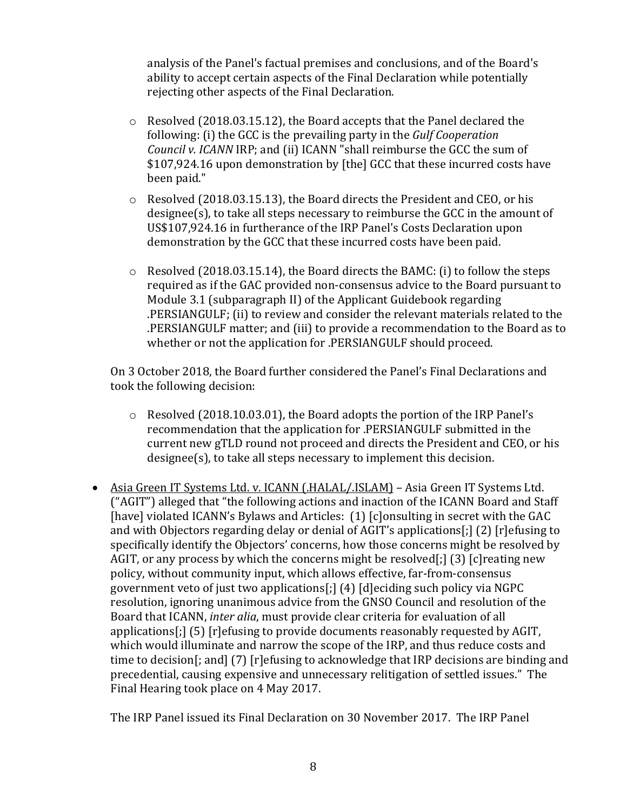analysis of the Panel's factual premises and conclusions, and of the Board's ability to accept certain aspects of the Final Declaration while potentially rejecting other aspects of the Final Declaration.

- $\circ$  Resolved (2018.03.15.12), the Board accepts that the Panel declared the following: (i) the GCC is the prevailing party in the *Gulf Cooperation Council v. ICANN* IRP; and (ii) ICANN "shall reimburse the GCC the sum of \$107,924.16 upon demonstration by [the] GCC that these incurred costs have been paid."
- $\circ$  Resolved (2018.03.15.13), the Board directs the President and CEO, or his  $designee(s)$ , to take all steps necessary to reimburse the GCC in the amount of US\$107,924.16 in furtherance of the IRP Panel's Costs Declaration upon demonstration by the GCC that these incurred costs have been paid.
- $\circ$  Resolved (2018.03.15.14), the Board directs the BAMC: (i) to follow the steps required as if the GAC provided non-consensus advice to the Board pursuant to Module 3.1 (subparagraph II) of the Applicant Guidebook regarding .PERSIANGULF; (ii) to review and consider the relevant materials related to the .PERSIANGULF matter; and (iii) to provide a recommendation to the Board as to whether or not the application for .PERSIANGULF should proceed.

On 3 October 2018, the Board further considered the Panel's Final Declarations and took the following decision:

- $\circ$  Resolved (2018.10.03.01), the Board adopts the portion of the IRP Panel's recommendation that the application for .PERSIANGULF submitted in the current new gTLD round not proceed and directs the President and CEO, or his  $designee(s)$ , to take all steps necessary to implement this decision.
- Asia Green IT Systems Ltd. v. ICANN (.HALAL/.ISLAM) Asia Green IT Systems Ltd.  $("AGIT")$  alleged that "the following actions and inaction of the ICANN Board and Staff [have] violated ICANN's Bylaws and Articles: (1) [c]onsulting in secret with the GAC and with Objectors regarding delay or denial of AGIT's applications[;]  $(2)$  [r]efusing to specifically identify the Objectors' concerns, how those concerns might be resolved by AGIT, or any process by which the concerns might be resolved[;]  $(3)$  [c] reating new policy, without community input, which allows effective, far-from-consensus government veto of just two applications[;]  $(4)$  [d]eciding such policy via NGPC resolution, ignoring unanimous advice from the GNSO Council and resolution of the Board that ICANN, *inter alia*, must provide clear criteria for evaluation of all applications[;]  $(5)$  [r]efusing to provide documents reasonably requested by AGIT, which would illuminate and narrow the scope of the IRP, and thus reduce costs and time to decision[; and]  $(7)$  [r]efusing to acknowledge that IRP decisions are binding and precedential, causing expensive and unnecessary relitigation of settled issues." The Final Hearing took place on 4 May 2017.

The IRP Panel issued its Final Declaration on 30 November 2017. The IRP Panel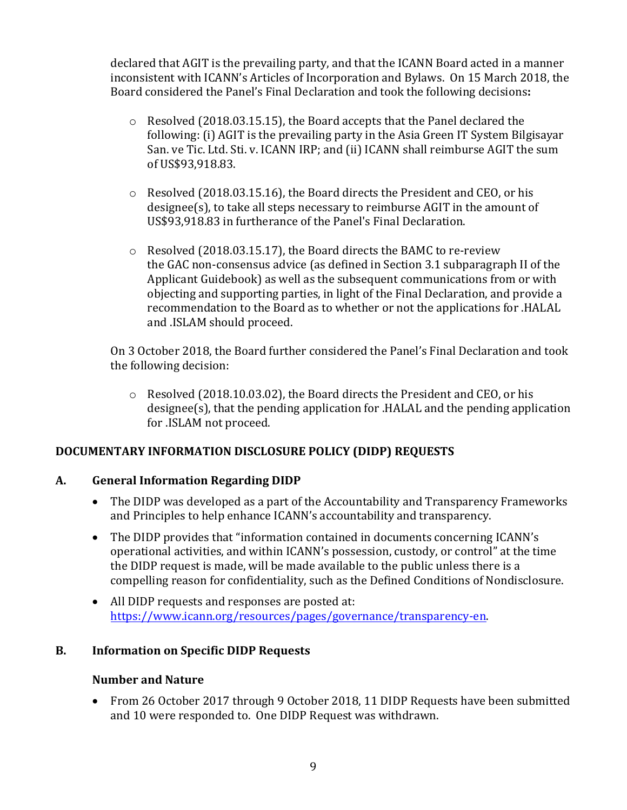declared that AGIT is the prevailing party, and that the ICANN Board acted in a manner inconsistent with ICANN's Articles of Incorporation and Bylaws. On 15 March 2018, the Board considered the Panel's Final Declaration and took the following decisions:

- $\circ$  Resolved (2018.03.15.15), the Board accepts that the Panel declared the following: (i) AGIT is the prevailing party in the Asia Green IT System Bilgisayar San. ve Tic. Ltd. Sti. v. ICANN IRP; and (ii) ICANN shall reimburse AGIT the sum of US\$93,918.83.
- $\circ$  Resolved (2018.03.15.16), the Board directs the President and CEO, or his  $designee(s)$ , to take all steps necessary to reimburse  $AGIT$  in the amount of US\$93,918.83 in furtherance of the Panel's Final Declaration.
- $\circ$  Resolved (2018.03.15.17), the Board directs the BAMC to re-review the GAC non-consensus advice (as defined in Section 3.1 subparagraph II of the Applicant Guidebook) as well as the subsequent communications from or with objecting and supporting parties, in light of the Final Declaration, and provide a recommendation to the Board as to whether or not the applications for .HALAL and .ISLAM should proceed.

On 3 October 2018, the Board further considered the Panel's Final Declaration and took the following decision:

 $\circ$  Resolved (2018.10.03.02), the Board directs the President and CEO, or his  $designee(s)$ , that the pending application for .HALAL and the pending application for .ISLAM not proceed.

# **DOCUMENTARY INFORMATION DISCLOSURE POLICY (DIDP) REQUESTS**

# **A. General Information Regarding DIDP**

- The DIDP was developed as a part of the Accountability and Transparency Frameworks and Principles to help enhance ICANN's accountability and transparency.
- The DIDP provides that "information contained in documents concerning ICANN's operational activities, and within ICANN's possession, custody, or control" at the time the DIDP request is made, will be made available to the public unless there is a compelling reason for confidentiality, such as the Defined Conditions of Nondisclosure.
- All DIDP requests and responses are posted at: https://www.icann.org/resources/pages/governance/transparency-en.

# **B.** Information on Specific DIDP Requests

#### **Number and Nature**

• From 26 October 2017 through 9 October 2018, 11 DIDP Requests have been submitted and 10 were responded to. One DIDP Request was withdrawn.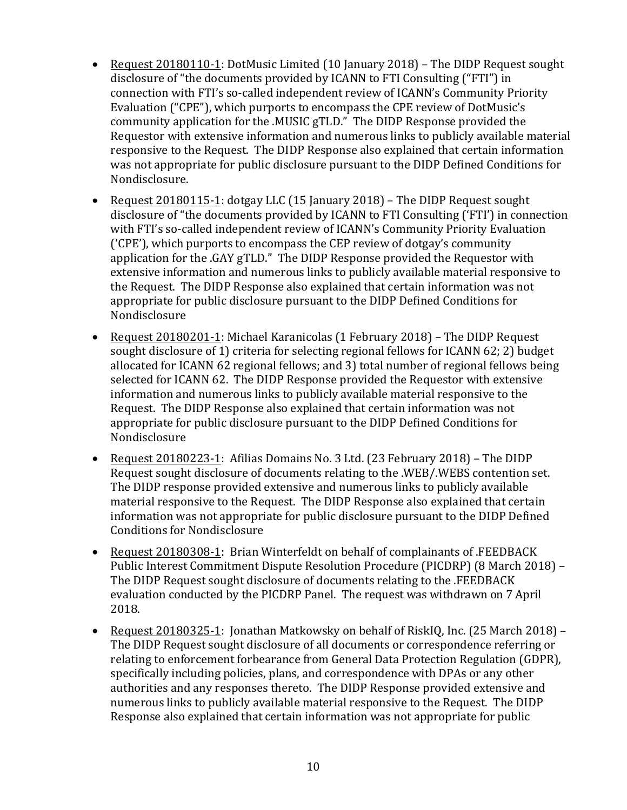- Request 20180110-1: DotMusic Limited (10 January 2018) The DIDP Request sought disclosure of "the documents provided by ICANN to FTI Consulting ("FTI") in connection with FTI's so-called independent review of ICANN's Community Priority Evaluation ("CPE"), which purports to encompass the CPE review of DotMusic's community application for the .MUSIC gTLD." The DIDP Response provided the Requestor with extensive information and numerous links to publicly available material responsive to the Request. The DIDP Response also explained that certain information was not appropriate for public disclosure pursuant to the DIDP Defined Conditions for Nondisclosure.
- Request 20180115-1: dotgay LLC (15 January 2018) The DIDP Request sought disclosure of "the documents provided by ICANN to FTI Consulting ('FTI') in connection with FTI's so-called independent review of ICANN's Community Priority Evaluation ('CPE'), which purports to encompass the CEP review of dotgay's community application for the .GAY gTLD." The DIDP Response provided the Requestor with extensive information and numerous links to publicly available material responsive to the Request. The DIDP Response also explained that certain information was not appropriate for public disclosure pursuant to the DIDP Defined Conditions for Nondisclosure
- Request 20180201-1: Michael Karanicolas (1 February 2018) The DIDP Request sought disclosure of 1) criteria for selecting regional fellows for ICANN 62; 2) budget allocated for ICANN 62 regional fellows; and 3) total number of regional fellows being selected for ICANN 62. The DIDP Response provided the Requestor with extensive information and numerous links to publicly available material responsive to the Request. The DIDP Response also explained that certain information was not appropriate for public disclosure pursuant to the DIDP Defined Conditions for Nondisclosure
- Request 20180223-1: Afilias Domains No. 3 Ltd. (23 February 2018) The DIDP Request sought disclosure of documents relating to the .WEB/.WEBS contention set. The DIDP response provided extensive and numerous links to publicly available material responsive to the Request. The DIDP Response also explained that certain information was not appropriate for public disclosure pursuant to the DIDP Defined Conditions for Nondisclosure
- Request 20180308-1: Brian Winterfeldt on behalf of complainants of .FEEDBACK Public Interest Commitment Dispute Resolution Procedure (PICDRP) (8 March 2018) – The DIDP Request sought disclosure of documents relating to the .FEEDBACK evaluation conducted by the PICDRP Panel. The request was withdrawn on 7 April 2018.
- Request 20180325-1: Jonathan Matkowsky on behalf of RiskIQ, Inc. (25 March 2018) The DIDP Request sought disclosure of all documents or correspondence referring or relating to enforcement forbearance from General Data Protection Regulation (GDPR), specifically including policies, plans, and correspondence with DPAs or any other authorities and any responses thereto. The DIDP Response provided extensive and numerous links to publicly available material responsive to the Request. The DIDP Response also explained that certain information was not appropriate for public